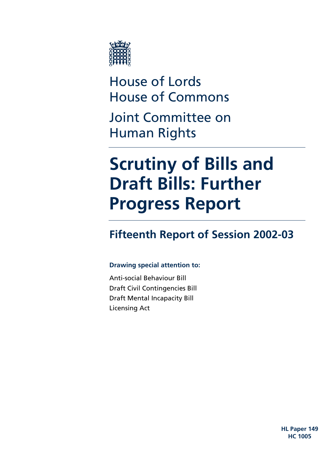

House of Lords House of Commons Joint Committee on Human Rights

# **Scrutiny of Bills and Draft Bills: Further Progress Report**

# **Fifteenth Report of Session 2002-03**

### **Drawing special attention to:**

Anti-social Behaviour Bill Draft Civil Contingencies Bill Draft Mental Incapacity Bill Licensing Act

> **HL Paper 149 HC 1005**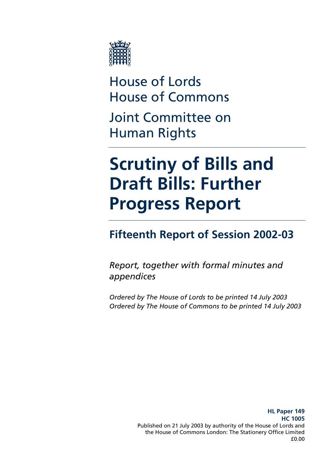

House of Lords House of Commons Joint Committee on Human Rights

# **Scrutiny of Bills and Draft Bills: Further Progress Report**

# **Fifteenth Report of Session 2002-03**

*Report, together with formal minutes and appendices* 

*Ordered by The House of Lords to be printed 14 July 2003 Ordered by The House of Commons to be printed 14 July 2003*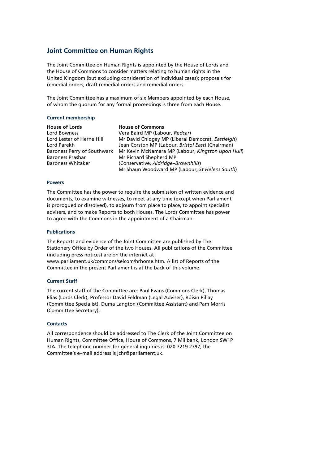#### **Joint Committee on Human Rights**

The Joint Committee on Human Rights is appointed by the House of Lords and the House of Commons to consider matters relating to human rights in the United Kingdom (but excluding consideration of individual cases); proposals for remedial orders; draft remedial orders and remedial orders.

The Joint Committee has a maximum of six Members appointed by each House, of whom the quorum for any formal proceedings is three from each House.

#### **Current membership**

| <b>House of Lords</b>     | <b>House of Commons</b>                                                               |
|---------------------------|---------------------------------------------------------------------------------------|
| Lord Bowness              | Vera Baird MP (Labour, Redcar)                                                        |
| Lord Lester of Herne Hill | Mr David Chidgey MP (Liberal Democrat, Eastleigh)                                     |
| Lord Parekh               | Jean Corston MP (Labour, Bristol East) (Chairman)                                     |
|                           | Baroness Perry of Southwark Mr Kevin McNamara MP (Labour, <i>Kingston upon Hull</i> ) |
| <b>Baroness Prashar</b>   | Mr Richard Shepherd MP                                                                |
| <b>Baroness Whitaker</b>  | (Conservative, Aldridge–Brownhills)                                                   |
|                           | Mr Shaun Woodward MP (Labour, St Helens South)                                        |

#### **Powers**

The Committee has the power to require the submission of written evidence and documents, to examine witnesses, to meet at any time (except when Parliament is prorogued or dissolved), to adjourn from place to place, to appoint specialist advisers, and to make Reports to both Houses. The Lords Committee has power to agree with the Commons in the appointment of a Chairman.

#### **Publications**

The Reports and evidence of the Joint Committee are published by The Stationery Office by Order of the two Houses. All publications of the Committee (including press notices) are on the internet at www.parliament.uk/commons/selcom/hrhome.htm. A list of Reports of the Committee in the present Parliament is at the back of this volume.

#### **Current Staff**

The current staff of the Committee are: Paul Evans (Commons Clerk), Thomas Elias (Lords Clerk), Professor David Feldman (Legal Adviser), Róisín Pillay (Committee Specialist), Duma Langton (Committee Assistant) and Pam Morris (Committee Secretary).

#### **Contacts**

All correspondence should be addressed to The Clerk of the Joint Committee on Human Rights, Committee Office, House of Commons, 7 Millbank, London SW1P 3JA. The telephone number for general inquiries is: 020 7219 2797; the Committee's e–mail address is jchr@parliament.uk.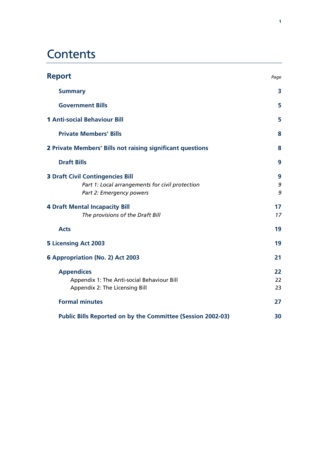# **Contents**

| <b>Report</b>                                                                                                          | Page           |
|------------------------------------------------------------------------------------------------------------------------|----------------|
| <b>Summary</b>                                                                                                         | 3              |
| <b>Government Bills</b>                                                                                                | 5              |
| <b>1 Anti-social Behaviour Bill</b>                                                                                    | 5              |
| <b>Private Members' Bills</b>                                                                                          | 8              |
| 2 Private Members' Bills not raising significant questions                                                             | 8              |
| <b>Draft Bills</b>                                                                                                     | 9              |
| <b>3 Draft Civil Contingencies Bill</b><br>Part 1: Local arrangements for civil protection<br>Part 2: Emergency powers | 9<br>9<br>9    |
| <b>4 Draft Mental Incapacity Bill</b><br>The provisions of the Draft Bill                                              | 17<br>17       |
| <b>Acts</b>                                                                                                            | 19             |
| <b>5 Licensing Act 2003</b>                                                                                            | 19             |
| 6 Appropriation (No. 2) Act 2003                                                                                       | 21             |
| <b>Appendices</b><br>Appendix 1: The Anti-social Behaviour Bill<br>Appendix 2: The Licensing Bill                      | 22<br>22<br>23 |
| <b>Formal minutes</b>                                                                                                  | 27             |
| Public Bills Reported on by the Committee (Session 2002-03)                                                            | 30             |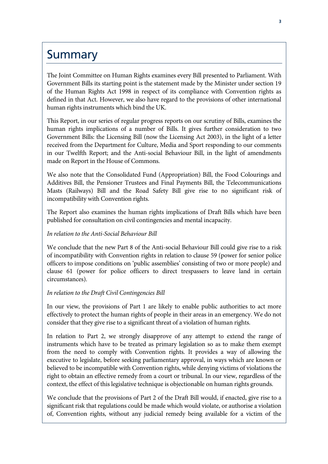# **Summary**

The Joint Committee on Human Rights examines every Bill presented to Parliament. With Government Bills its starting point is the statement made by the Minister under section 19 of the Human Rights Act 1998 in respect of its compliance with Convention rights as defined in that Act. However, we also have regard to the provisions of other international human rights instruments which bind the UK.

This Report, in our series of regular progress reports on our scrutiny of Bills, examines the human rights implications of a number of Bills. It gives further consideration to two Government Bills: the Licensing Bill (now the Licensing Act 2003), in the light of a letter received from the Department for Culture, Media and Sport responding to our comments in our Twelfth Report; and the Anti-social Behaviour Bill, in the light of amendments made on Report in the House of Commons.

We also note that the Consolidated Fund (Appropriation) Bill, the Food Colourings and Additives Bill, the Pensioner Trustees and Final Payments Bill, the Telecommunications Masts (Railways) Bill and the Road Safety Bill give rise to no significant risk of incompatibility with Convention rights.

The Report also examines the human rights implications of Draft Bills which have been published for consultation on civil contingencies and mental incapacity.

#### *In relation to the Anti-Social Behaviour Bill*

We conclude that the new Part 8 of the Anti-social Behaviour Bill could give rise to a risk of incompatibility with Convention rights in relation to clause 59 (power for senior police officers to impose conditions on 'public assemblies' consisting of two or more people) and clause 61 (power for police officers to direct trespassers to leave land in certain circumstances).

#### *In relation to the Draft Civil Contingencies Bill*

In our view, the provisions of Part 1 are likely to enable public authorities to act more effectively to protect the human rights of people in their areas in an emergency. We do not consider that they give rise to a significant threat of a violation of human rights.

In relation to Part 2, we strongly disapprove of any attempt to extend the range of instruments which have to be treated as primary legislation so as to make them exempt from the need to comply with Convention rights. It provides a way of allowing the executive to legislate, before seeking parliamentary approval, in ways which are known or believed to be incompatible with Convention rights, while denying victims of violations the right to obtain an effective remedy from a court or tribunal. In our view, regardless of the context, the effect of this legislative technique is objectionable on human rights grounds.

We conclude that the provisions of Part 2 of the Draft Bill would, if enacted, give rise to a significant risk that regulations could be made which would violate, or authorise a violation of, Convention rights, without any judicial remedy being available for a victim of the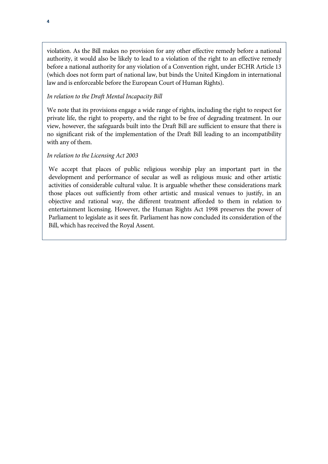violation. As the Bill makes no provision for any other effective remedy before a national authority, it would also be likely to lead to a violation of the right to an effective remedy before a national authority for any violation of a Convention right, under ECHR Article 13 (which does not form part of national law, but binds the United Kingdom in international law and is enforceable before the European Court of Human Rights).

#### *In relation to the Draft Mental Incapacity Bill*

We note that its provisions engage a wide range of rights, including the right to respect for private life, the right to property, and the right to be free of degrading treatment. In our view, however, the safeguards built into the Draft Bill are sufficient to ensure that there is no significant risk of the implementation of the Draft Bill leading to an incompatibility with any of them.

#### *In relation to the Licensing Act 2003*

We accept that places of public religious worship play an important part in the development and performance of secular as well as religious music and other artistic activities of considerable cultural value. It is arguable whether these considerations mark those places out sufficiently from other artistic and musical venues to justify, in an objective and rational way, the different treatment afforded to them in relation to entertainment licensing. However, the Human Rights Act 1998 preserves the power of Parliament to legislate as it sees fit. Parliament has now concluded its consideration of the Bill, which has received the Royal Assent.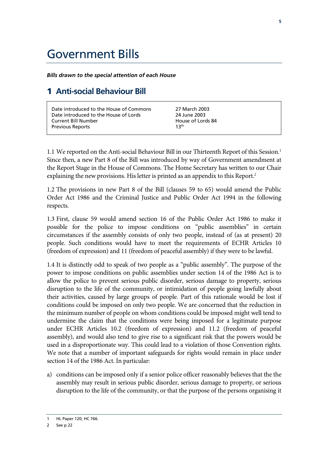# Government Bills

*Bills drawn to the special attention of each House* 

### 1 **Anti-social Behaviour Bill**

1.1 We reported on the Anti-social Behaviour Bill in our Thirteenth Report of this Session.<sup>1</sup> Since then, a new Part 8 of the Bill was introduced by way of Government amendment at the Report Stage in the House of Commons. The Home Secretary has written to our Chair explaining the new provisions. His letter is printed as an appendix to this Report.<sup>2</sup>

1.2 The provisions in new Part 8 of the Bill (clauses 59 to 65) would amend the Public Order Act 1986 and the Criminal Justice and Public Order Act 1994 in the following respects.

1.3 First, clause 59 would amend section 16 of the Public Order Act 1986 to make it possible for the police to impose conditions on "public assemblies" in certain circumstances if the assembly consists of only two people, instead of (as at present) 20 people. Such conditions would have to meet the requirements of ECHR Articles 10 (freedom of expression) and 11 (freedom of peaceful assembly) if they were to be lawful.

1.4 It is distinctly odd to speak of two people as a "public assembly". The purpose of the power to impose conditions on public assemblies under section 14 of the 1986 Act is to allow the police to prevent serious public disorder, serious damage to property, serious disruption to the life of the community, or intimidation of people going lawfully about their activities, caused by large groups of people. Part of this rationale would be lost if conditions could be imposed on only two people. We are concerned that the reduction in the minimum number of people on whom conditions could be imposed might well tend to undermine the claim that the conditions were being imposed for a legitimate purpose under ECHR Articles 10.2 (freedom of expression) and 11.2 (freedom of peaceful assembly), and would also tend to give rise to a significant risk that the powers would be used in a disproportionate way. This could lead to a violation of those Convention rights. We note that a number of important safeguards for rights would remain in place under section 14 of the 1986 Act. In particular:

a) conditions can be imposed only if a senior police officer reasonably believes that the the assembly may result in serious public disorder, serious damage to property, or serious disruption to the life of the community, or that the purpose of the persons organising it

HL Paper 120, HC 766.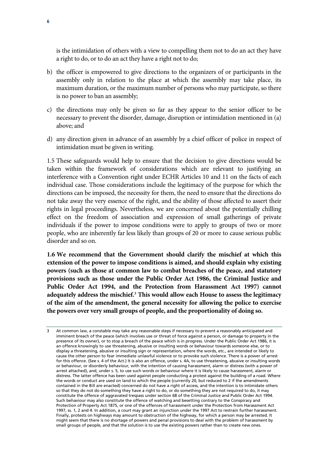is the intimidation of others with a view to compelling them not to do an act they have a right to do, or to do an act they have a right not to do;

- b) the officer is empowered to give directions to the organizers of or participants in the assembly only in relation to the place at which the assembly may take place, its maximum duration, or the maximum number of persons who may participate, so there is no power to ban an assembly;
- c) the directions may only be given so far as they appear to the senior officer to be necessary to prevent the disorder, damage, disruption or intimidation mentioned in (a) above; and
- d) any direction given in advance of an assembly by a chief officer of police in respect of intimidation must be given in writing.

1.5 These safeguards would help to ensure that the decision to give directions would be taken within the framework of considerations which are relevant to justifying an interference with a Convention right under ECHR Articles 10 and 11 on the facts of each individual case. Those considerations include the legitimacy of the purpose for which the directions can be imposed, the necessity for them, the need to ensure that the directions do not take away the very essence of the right, and the ability of those affected to assert their rights in legal proceedings. Nevertheless, we are concerned about the potentially chilling effect on the freedom of association and expression of small gatherings of private individuals if the power to impose conditions were to apply to groups of two or more people, who are inherently far less likely than groups of 20 or more to cause serious public disorder and so on.

**1.6 We recommend that the Government should clarify the mischief at which this extension of the power to impose conditions is aimed, and should explain why existing powers (such as those at common law to combat breaches of the peace, and statutory provisions such as those under the Public Order Act 1986, the Criminal Justice and Public Order Act 1994, and the Protection from Harassment Act 1997) cannot adequately address the mischief.3 This would allow each House to assess the legitimacy of the aim of the amendment, the general necessity for allowing the police to exercise the powers over very small groups of people, and the proportionality of doing so.** 

At common law, a constable may take any reasonable steps if necessary to prevent a reasonably anticipated and imminent breach of the peace (which involves use or threat of force against a person, or damage to property in the presence of its owner), or to stop a breach of the peace which is in progress. Under the Public Order Act 1986, it is an offence knowingly to use threatening, abusive or insulting words or behaviour towards someone else, or to display a threatening, abusive or insulting sign or representation, where the words, etc., are intended or likely to cause the other person to fear immediate unlawful violence or to provoke such violence. There is a power of arrest for this offence. (See s. 4 of the Act.) It is also an offence, under s. 4A, to use threatening, abusive or insulting words or behaviour, or disorderly behaviour, with the intention of causing harassment, alarm or distress (with a power of arrest attached), and, under s. 5, to use such words or behaviour where it is likely to cause harassment, alarm or distress. The latter offence has been used against people conducting a protest against the building of a road. Where the words or conduct are used on land to which the people (currently 20, but reduced to 2 if the amendments contained in the Bill are enacted) concerned do not have a right of access, and the intention is to intimidate others so that they do not do something they have a right to do, or do something they are not required to do, it may constitute the offence of aggravated trespass under section 68 of the Criminal Justice and Public Order Act 1994. Such behaviour may also constitute the offence of watching and besetting contrary to the Conspiracy and Protection of Property Act 1875, or one of the offences of harassment under the Protection from Harassment Act 1997, ss. 1, 2 and 4. In addition, a court may grant an injunction under the 1997 Act to restrain further harassment. Finally, protests on highways may amount to obstruction of the highway, for which a person may be arrested. It might seem that there is no shortage of powers and penal provisions to deal with the problem of harassment by small groups of people, and that the solution is to use the existing powers rather than to create new ones.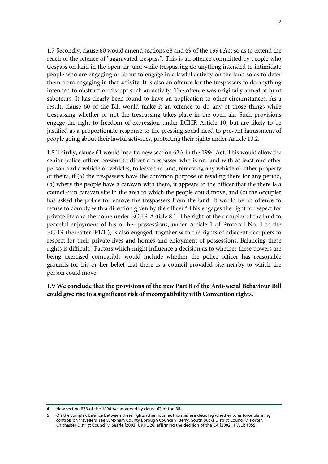1.7 Secondly, clause 60 would amend sections 68 and 69 of the 1994 Act so as to extend the reach of the offence of "aggravated trespass". This is an offence committed by people who trespass on land in the open air, and while trespassing do anything intended to intimidate people who are engaging or about to engage in a lawful activity on the land so as to deter them from engaging in that activity. It is also an offence for the trespassers to do anything intended to obstruct or disrupt such an activity. The offence was originally aimed at hunt saboteurs. It has clearly been found to have an application to other circumstances. As a result, clause 60 of the Bill would make it an offence to do any of those things while trespassing whether or not the trespassing takes place in the open air. Such provisions engage the right to freedom of expression under ECHR Article 10, but are likely to be justified as a proportionate response to the pressing social need to prevent harassment of people going about their lawful activities, protecting their rights under Article 10.2.

1.8 Thirdly, clause 61 would insert a new section 62A in the 1994 Act. This would allow the senior police officer present to direct a trespasser who is on land with at least one other person and a vehicle or vehicles, to leave the land, removing any vehicle or other property of theirs, if (a) the trespassers have the common purpose of residing there for any period, (b) where the people have a caravan with them, it appears to the officer that the there is a council-run caravan site in the area to which the people could move, and (c) the occupier has asked the police to remove the trespassers from the land. It would be an offence to refuse to comply with a direction given by the officer.<sup>4</sup> This engages the right to respect for private life and the home under ECHR Article 8.1. The right of the occupier of the land to peaceful enjoyment of his or her possessions, under Article 1 of Protocol No. 1 to the ECHR (hereafter 'P1/1'), is also engaged, together with the rights of adjacent occupiers to respect for their private lives and homes and enjoyment of possessions. Balancing these rights is difficult.<sup>5</sup> Factors which might influence a decision as to whether these powers are being exercised compatibly would include whether the police officer has reasonable grounds for his or her belief that there is a council-provided site nearby to which the person could move.

**1.9 We conclude that the provisions of the new Part 8 of the Anti-social Behaviour Bill could give rise to a significant risk of incompatibility with Convention rights.** 

<sup>4</sup> New section 62B of the 1994 Act as added by clause 62 of the Bill.

<sup>5</sup> On the complex balance between these rights when local authorities are deciding whether to enforce planning controls on travellers, see Wrexham County Borough Council v. Berry, South Bucks District Council v. Porter, Chichester District Council v. Searle [2003] UKHL 26, affirming the decision of the CA [2002] 1 WLR 1359.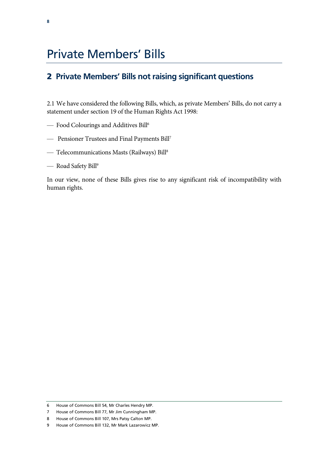# Private Members' Bills

### 2 **Private Members' Bills not raising significant questions**

2.1 We have considered the following Bills, which, as private Members' Bills, do not carry a statement under section 19 of the Human Rights Act 1998:

- Food Colourings and Additives Bill6
- Pensioner Trustees and Final Payments Bill7
- Telecommunications Masts (Railways) Bill8
- Road Safety Bill<sup>9</sup>

In our view, none of these Bills gives rise to any significant risk of incompatibility with human rights.

<sup>6</sup> House of Commons Bill 54, Mr Charles Hendry MP.

<sup>7</sup> House of Commons Bill 77, Mr Jim Cunningham MP.

<sup>8</sup> House of Commons Bill 107, Mrs Patsy Calton MP.

<sup>9</sup> House of Commons Bill 132, Mr Mark Lazarowicz MP.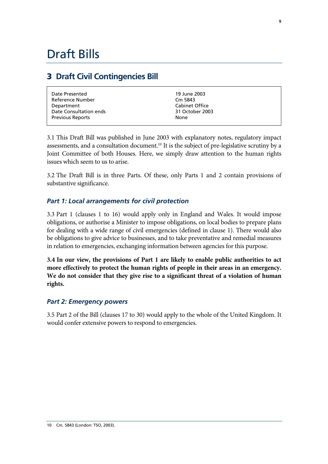### 3 **Draft Civil Contingencies Bill**

| Date Presented          | 19 June 2003    |
|-------------------------|-----------------|
| Reference Number        | Cm 5843         |
| Department              | Cabinet Office  |
| Date Consultation ends  | 31 October 2003 |
| <b>Previous Reports</b> | None            |

3.1 This Draft Bill was published in June 2003 with explanatory notes, regulatory impact assessments, and a consultation document.<sup>10</sup> It is the subject of pre-legislative scrutiny by a Joint Committee of both Houses. Here, we simply draw attention to the human rights issues which seem to us to arise.

3.2 The Draft Bill is in three Parts. Of these, only Parts 1 and 2 contain provisions of substantive significance.

### *Part 1: Local arrangements for civil protection*

3.3 Part 1 (clauses 1 to 16) would apply only in England and Wales. It would impose obligations, or authorise a Minister to impose obligations, on local bodies to prepare plans for dealing with a wide range of civil emergencies (defined in clause 1). There would also be obligations to give advice to businesses, and to take preventative and remedial measures in relation to emergencies, exchanging information between agencies for this purpose.

**3.4 In our view, the provisions of Part 1 are likely to enable public authorities to act more effectively to protect the human rights of people in their areas in an emergency. We do not consider that they give rise to a significant threat of a violation of human rights.** 

#### *Part 2: Emergency powers*

3.5 Part 2 of the Bill (clauses 17 to 30) would apply to the whole of the United Kingdom. It would confer extensive powers to respond to emergencies.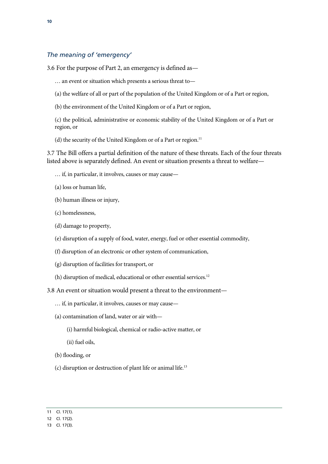#### *The meaning of 'emergency'*

3.6 For the purpose of Part 2, an emergency is defined as—

- … an event or situation which presents a serious threat to—
- (a) the welfare of all or part of the population of the United Kingdom or of a Part or region,
- (b) the environment of the United Kingdom or of a Part or region,

(c) the political, administrative or economic stability of the United Kingdom or of a Part or region, or

(d) the security of the United Kingdom or of a Part or region.<sup>11</sup>

3.7 The Bill offers a partial definition of the nature of these threats. Each of the four threats listed above is separately defined. An event or situation presents a threat to welfare—

- … if, in particular, it involves, causes or may cause—
- (a) loss or human life,
- (b) human illness or injury,
- (c) homelessness,
- (d) damage to property,
- (e) disruption of a supply of food, water, energy, fuel or other essential commodity,
- (f) disruption of an electronic or other system of communication,
- (g) disruption of facilities for transport, or
- (h) disruption of medical, educational or other essential services.<sup>12</sup>
- 3.8 An event or situation would present a threat to the environment—
	- … if, in particular, it involves, causes or may cause—
	- (a) contamination of land, water or air with—
		- (i) harmful biological, chemical or radio-active matter, or
		- (ii) fuel oils,
	- (b) flooding, or
	- (c) disruption or destruction of plant life or animal life.13

<sup>11</sup> Cl. 17(1).

<sup>12</sup> Cl. 17(2).

<sup>13</sup> Cl. 17(3).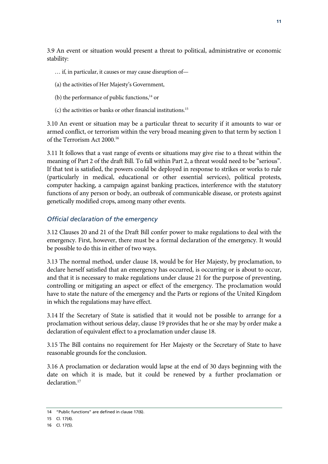3.9 An event or situation would present a threat to political, administrative or economic stability:

- … if, in particular, it causes or may cause disruption of—
- (a) the activities of Her Majesty's Government,
- (b) the performance of public functions, $14$  or
- (c) the activities or banks or other financial institutions.15

3.10 An event or situation may be a particular threat to security if it amounts to war or armed conflict, or terrorism within the very broad meaning given to that term by section 1 of the Terrorism Act 2000.16

3.11 It follows that a vast range of events or situations may give rise to a threat within the meaning of Part 2 of the draft Bill. To fall within Part 2, a threat would need to be "serious". If that test is satisfied, the powers could be deployed in response to strikes or works to rule (particularly in medical, educational or other essential services), political protests, computer hacking, a campaign against banking practices, interference with the statutory functions of any person or body, an outbreak of communicable disease, or protests against genetically modified crops, among many other events.

#### *Official declaration of the emergency*

3.12 Clauses 20 and 21 of the Draft Bill confer power to make regulations to deal with the emergency. First, however, there must be a formal declaration of the emergency. It would be possible to do this in either of two ways.

3.13 The normal method, under clause 18, would be for Her Majesty, by proclamation, to declare herself satisfied that an emergency has occurred, is occurring or is about to occur, and that it is necessary to make regulations under clause 21 for the purpose of preventing, controlling or mitigating an aspect or effect of the emergency. The proclamation would have to state the nature of the emergency and the Parts or regions of the United Kingdom in which the regulations may have effect.

3.14 If the Secretary of State is satisfied that it would not be possible to arrange for a proclamation without serious delay, clause 19 provides that he or she may by order make a declaration of equivalent effect to a proclamation under clause 18.

3.15 The Bill contains no requirement for Her Majesty or the Secretary of State to have reasonable grounds for the conclusion.

3.16 A proclamation or declaration would lapse at the end of 30 days beginning with the date on which it is made, but it could be renewed by a further proclamation or declaration.<sup>17</sup>

<sup>14 &</sup>quot;Public functions" are defined in clause 17(6).

<sup>15</sup> Cl. 17(4).

<sup>16</sup> Cl. 17(5).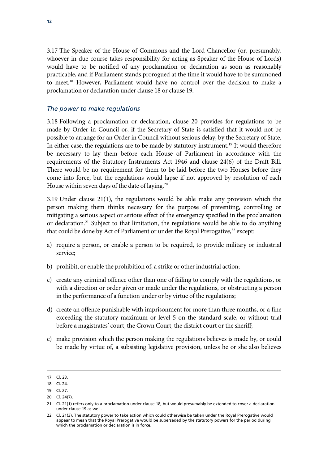3.17 The Speaker of the House of Commons and the Lord Chancellor (or, presumably, whoever in due course takes responsibility for acting as Speaker of the House of Lords) would have to be notified of any proclamation or declaration as soon as reasonably practicable, and if Parliament stands prorogued at the time it would have to be summoned to meet.18 However, Parliament would have no control over the decision to make a proclamation or declaration under clause 18 or clause 19.

#### *The power to make regulations*

3.18 Following a proclamation or declaration, clause 20 provides for regulations to be made by Order in Council or, if the Secretary of State is satisfied that it would not be possible to arrange for an Order in Council without serious delay, by the Secretary of State. In either case, the regulations are to be made by statutory instrument.<sup>19</sup> It would therefore be necessary to lay them before each House of Parliament in accordance with the requirements of the Statutory Instruments Act 1946 and clause 24(6) of the Draft Bill. There would be no requirement for them to be laid before the two Houses before they come into force, but the regulations would lapse if not approved by resolution of each House within seven days of the date of laying.<sup>20</sup>

3.19 Under clause 21(1), the regulations would be able make any provision which the person making them thinks necessary for the purpose of preventing, controlling or mitigating a serious aspect or serious effect of the emergency specified in the proclamation or declaration.<sup>21</sup> Subject to that limitation, the regulations would be able to do anything that could be done by Act of Parliament or under the Royal Prerogative, $22$  except:

- a) require a person, or enable a person to be required, to provide military or industrial service;
- b) prohibit, or enable the prohibition of, a strike or other industrial action;
- c) create any criminal offence other than one of failing to comply with the regulations, or with a direction or order given or made under the regulations, or obstructing a person in the performance of a function under or by virtue of the regulations;
- d) create an offence punishable with imprisonment for more than three months, or a fine exceeding the statutory maximum or level 5 on the standard scale, or without trial before a magistrates' court, the Crown Court, the district court or the sheriff;
- e) make provision which the person making the regulations believes is made by, or could be made by virtue of, a subsisting legislative provision, unless he or she also believes

-

<sup>17</sup> Cl. 23.

<sup>18</sup> Cl. 24.

<sup>19</sup> Cl. 27.

<sup>20</sup> Cl. 24(7).

<sup>21</sup> Cl. 21(1) refers only to a proclamation under clause 18, but would presumably be extended to cover a declaration under clause 19 as well.

<sup>22</sup> Cl. 21(3). The statutory power to take action which could otherwise be taken under the Royal Prerogative would appear to mean that the Royal Prerogative would be superseded by the statutory powers for the period during which the proclamation or declaration is in force.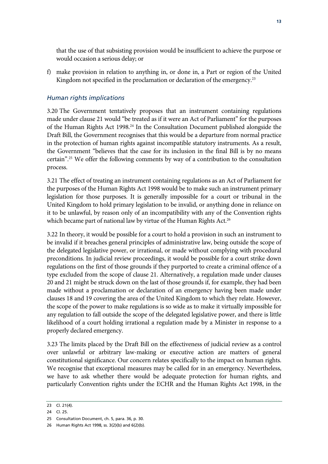that the use of that subsisting provision would be insufficient to achieve the purpose or would occasion a serious delay; or

f) make provision in relation to anything in, or done in, a Part or region of the United Kingdom not specified in the proclamation or declaration of the emergency.<sup>23</sup>

#### *Human rights implications*

3.20 The Government tentatively proposes that an instrument containing regulations made under clause 21 would "be treated as if it were an Act of Parliament" for the purposes of the Human Rights Act 1998.<sup>24</sup> In the Consultation Document published alongside the Draft Bill, the Government recognises that this would be a departure from normal practice in the protection of human rights against incompatible statutory instruments. As a result, the Government "believes that the case for its inclusion in the final Bill is by no means certain".25 We offer the following comments by way of a contribution to the consultation process.

3.21 The effect of treating an instrument containing regulations as an Act of Parliament for the purposes of the Human Rights Act 1998 would be to make such an instrument primary legislation for those purposes. It is generally impossible for a court or tribunal in the United Kingdom to hold primary legislation to be invalid, or anything done in reliance on it to be unlawful, by reason only of an incompatibility with any of the Convention rights which became part of national law by virtue of the Human Rights Act.<sup>26</sup>

3.22 In theory, it would be possible for a court to hold a provision in such an instrument to be invalid if it breaches general principles of administrative law, being outside the scope of the delegated legislative power, or irrational, or made without complying with procedural preconditions. In judicial review proceedings, it would be possible for a court strike down regulations on the first of those grounds if they purported to create a criminal offence of a type excluded from the scope of clause 21. Alternatively, a regulation made under clauses 20 and 21 might be struck down on the last of those grounds if, for example, they had been made without a proclamation or declaration of an emergency having been made under clauses 18 and 19 covering the area of the United Kingdom to which they relate. However, the scope of the power to make regulations is so wide as to make it virtually impossible for any regulation to fall outside the scope of the delegated legislative power, and there is little likelihood of a court holding irrational a regulation made by a Minister in response to a properly declared emergency.

3.23 The limits placed by the Draft Bill on the effectiveness of judicial review as a control over unlawful or arbitrary law-making or executive action are matters of general constitutional significance. Our concern relates specifically to the impact on human rights. We recognise that exceptional measures may be called for in an emergency. Nevertheless, we have to ask whether there would be adequate protection for human rights, and particularly Convention rights under the ECHR and the Human Rights Act 1998, in the

<sup>23</sup> Cl. 21(4).

<sup>24</sup> Cl. 25.

<sup>25</sup> Consultation Document, ch. 5, para. 36, p. 30.

<sup>26</sup> Human Rights Act 1998, ss. 3(2)(b) and 6(2)(b).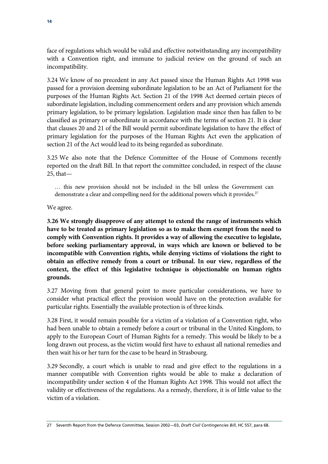face of regulations which would be valid and effective notwithstanding any incompatibility with a Convention right, and immune to judicial review on the ground of such an incompatibility.

3.24 We know of no precedent in any Act passed since the Human Rights Act 1998 was passed for a provision deeming subordinate legislation to be an Act of Parliament for the purposes of the Human Rights Act. Section 21 of the 1998 Act deemed certain pieces of subordinate legislation, including commencement orders and any provision which amends primary legislation, to be primary legislation. Legislation made since then has fallen to be classified as primary or subordinate in accordance with the terms of section 21. It is clear that clauses 20 and 21 of the Bill would permit subordinate legislation to have the effect of primary legislation for the purposes of the Human Rights Act even the application of section 21 of the Act would lead to its being regarded as subordinate.

3.25 We also note that the Defence Committee of the House of Commons recently reported on the draft Bill. In that report the committee concluded, in respect of the clause 25, that—

… this new provision should not be included in the bill unless the Government can demonstrate a clear and compelling need for the additional powers which it provides.<sup>27</sup>

We agree.

**3.26 We strongly disapprove of any attempt to extend the range of instruments which have to be treated as primary legislation so as to make them exempt from the need to comply with Convention rights. It provides a way of allowing the executive to legislate, before seeking parliamentary approval, in ways which are known or believed to be incompatible with Convention rights, while denying victims of violations the right to obtain an effective remedy from a court or tribunal. In our view, regardless of the context, the effect of this legislative technique is objectionable on human rights grounds.** 

3.27 Moving from that general point to more particular considerations, we have to consider what practical effect the provision would have on the protection available for particular rights. Essentially the available protection is of three kinds.

3.28 First, it would remain possible for a victim of a violation of a Convention right, who had been unable to obtain a remedy before a court or tribunal in the United Kingdom, to apply to the European Court of Human Rights for a remedy. This would be likely to be a long drawn out process, as the victim would first have to exhaust all national remedies and then wait his or her turn for the case to be heard in Strasbourg.

3.29 Secondly, a court which is unable to read and give effect to the regulations in a manner compatible with Convention rights would be able to make a declaration of incompatibility under section 4 of the Human Rights Act 1998. This would not affect the validity or effectiveness of the regulations. As a remedy, therefore, it is of little value to the victim of a violation.

<sup>27</sup> Seventh Report from the Defence Committee, Session 2002—03, *Draft Civil Contingencies Bill*, HC 557, para 68.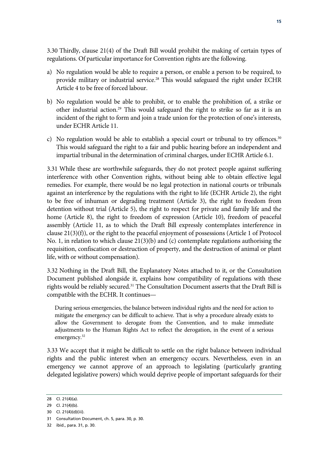3.30 Thirdly, clause 21(4) of the Draft Bill would prohibit the making of certain types of regulations. Of particular importance for Convention rights are the following.

- a) No regulation would be able to require a person, or enable a person to be required, to provide military or industrial service.<sup>28</sup> This would safeguard the right under ECHR Article 4 to be free of forced labour.
- b) No regulation would be able to prohibit, or to enable the prohibition of, a strike or other industrial action.29 This would safeguard the right to strike so far as it is an incident of the right to form and join a trade union for the protection of one's interests, under ECHR Article 11.
- c) No regulation would be able to establish a special court or tribunal to try offences.<sup>30</sup> This would safeguard the right to a fair and public hearing before an independent and impartial tribunal in the determination of criminal charges, under ECHR Article 6.1.

3.31 While these are worthwhile safeguards, they do not protect people against suffering interference with other Convention rights, without being able to obtain effective legal remedies. For example, there would be no legal protection in national courts or tribunals against an interference by the regulations with the right to life (ECHR Article 2), the right to be free of inhuman or degrading treatment (Article 3), the right to freedom from detention without trial (Article 5), the right to respect for private and family life and the home (Article 8), the right to freedom of expression (Article 10), freedom of peaceful assembly (Article 11, as to which the Draft Bill expressly contemplates interference in clause 21(3)(f)), or the right to the peaceful enjoyment of possessions (Article 1 of Protocol No. 1, in relation to which clause 21(3)(b) and (c) contemplate regulations authorising the requisition, confiscation or destruction of property, and the destruction of animal or plant life, with or without compensation).

3.32 Nothing in the Draft Bill, the Explanatory Notes attached to it, or the Consultation Document published alongside it, explains how compatibility of regulations with these rights would be reliably secured.<sup>31</sup> The Consultation Document asserts that the Draft Bill is compatible with the ECHR. It continues—

During serious emergencies, the balance between individual rights and the need for action to mitigate the emergency can be difficult to achieve. That is why a procedure already exists to allow the Government to derogate from the Convention, and to make immediate adjustments to the Human Rights Act to reflect the derogation, in the event of a serious emergency.<sup>32</sup>

3.33 We accept that it might be difficult to settle on the right balance between individual rights and the public interest when an emergency occurs. Nevertheless, even in an emergency we cannot approve of an approach to legislating (particularly granting delegated legislative powers) which would deprive people of important safeguards for their

<sup>28</sup> Cl. 21(4)(a).

<sup>29</sup> Cl. 21(4)(b).

<sup>30</sup> Cl. 21(4)(d)(iii).

<sup>31</sup> Consultation Document, ch. 5, para. 30, p. 30.

<sup>32</sup> ibid., para. 31, p. 30.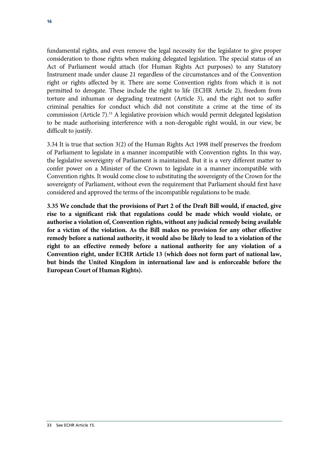fundamental rights, and even remove the legal necessity for the legislator to give proper consideration to those rights when making delegated legislation. The special status of an Act of Parliament would attach (for Human Rights Act purposes) to any Statutory Instrument made under clause 21 regardless of the circumstances and of the Convention right or rights affected by it. There are some Convention rights from which it is not permitted to derogate. These include the right to life (ECHR Article 2), freedom from torture and inhuman or degrading treatment (Article 3), and the right not to suffer criminal penalties for conduct which did not constitute a crime at the time of its commission (Article 7).<sup>33</sup> A legislative provision which would permit delegated legislation to be made authorising interference with a non-derogable right would, in our view, be difficult to justify.

3.34 It is true that section 3(2) of the Human Rights Act 1998 itself preserves the freedom of Parliament to legislate in a manner incompatible with Convention rights. In this way, the legislative sovereignty of Parliament is maintained. But it is a very different matter to confer power on a Minister of the Crown to legislate in a manner incompatible with Convention rights. It would come close to substituting the sovereignty of the Crown for the sovereignty of Parliament, without even the requirement that Parliament should first have considered and approved the terms of the incompatible regulations to be made.

**3.35 We conclude that the provisions of Part 2 of the Draft Bill would, if enacted, give rise to a significant risk that regulations could be made which would violate, or authorise a violation of, Convention rights, without any judicial remedy being available for a victim of the violation. As the Bill makes no provision for any other effective remedy before a national authority, it would also be likely to lead to a violation of the right to an effective remedy before a national authority for any violation of a Convention right, under ECHR Article 13 (which does not form part of national law, but binds the United Kingdom in international law and is enforceable before the European Court of Human Rights).**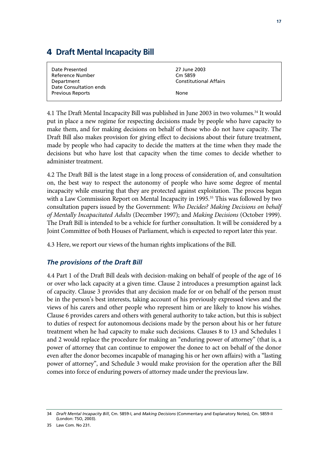## 4 **Draft Mental Incapacity Bill**

| Date Presented          | 27 June 2003                  |
|-------------------------|-------------------------------|
| Reference Number        | Cm 5859                       |
| Department              | <b>Constitutional Affairs</b> |
| Date Consultation ends  |                               |
| <b>Previous Reports</b> | None                          |
|                         |                               |

4.1 The Draft Mental Incapacity Bill was published in June 2003 in two volumes.<sup>34</sup> It would put in place a new regime for respecting decisions made by people who have capacity to make them, and for making decisions on behalf of those who do not have capacity. The Draft Bill also makes provision for giving effect to decisions about their future treatment, made by people who had capacity to decide the matters at the time when they made the decisions but who have lost that capacity when the time comes to decide whether to administer treatment.

4.2 The Draft Bill is the latest stage in a long process of consideration of, and consultation on, the best way to respect the autonomy of people who have some degree of mental incapacity while ensuring that they are protected against exploitation. The process began with a Law Commission Report on Mental Incapacity in 1995.<sup>35</sup> This was followed by two consultation papers issued by the Government: *Who Decides? Making Decisions on behalf of Mentally Incapacitated Adults* (December 1997); and *Making Decisions* (October 1999). The Draft Bill is intended to be a vehicle for further consultation. It will be considered by a Joint Committee of both Houses of Parliament, which is expected to report later this year.

4.3 Here, we report our views of the human rights implications of the Bill.

### *The provisions of the Draft Bill*

4.4 Part 1 of the Draft Bill deals with decision-making on behalf of people of the age of 16 or over who lack capacity at a given time. Clause 2 introduces a presumption against lack of capacity. Clause 3 provides that any decision made for or on behalf of the person must be in the person's best interests, taking account of his previously expressed views and the views of his carers and other people who represent him or are likely to know his wishes. Clause 6 provides carers and others with general authority to take action, but this is subject to duties of respect for autonomous decisions made by the person about his or her future treatment when he had capacity to make such decisions. Clauses 8 to 13 and Schedules 1 and 2 would replace the procedure for making an "enduring power of attorney" (that is, a power of attorney that can continue to empower the donee to act on behalf of the donor even after the donor becomes incapable of managing his or her own affairs) with a "lasting power of attorney", and Schedule 3 would make provision for the operation after the Bill comes into force of enduring powers of attorney made under the previous law.

<sup>34</sup> *Draft Mental Incapacity Bill*, Cm. 5859-I, and *Making Decisions* (Commentary and Explanatory Notes), Cm. 5859-II (London: TSO, 2003).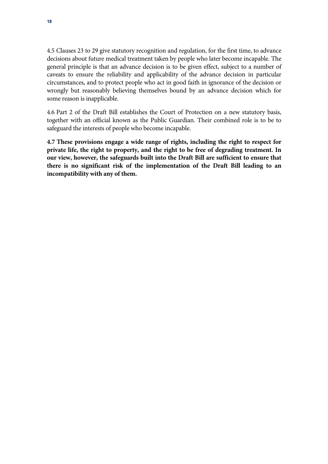4.5 Clauses 23 to 29 give statutory recognition and regulation, for the first time, to advance decisions about future medical treatment taken by people who later become incapable. The general principle is that an advance decision is to be given effect, subject to a number of caveats to ensure the reliability and applicability of the advance decision in particular circumstances, and to protect people who act in good faith in ignorance of the decision or wrongly but reasonably believing themselves bound by an advance decision which for some reason is inapplicable.

4.6 Part 2 of the Draft Bill establishes the Court of Protection on a new statutory basis, together with an official known as the Public Guardian. Their combined role is to be to safeguard the interests of people who become incapable.

**4.7 These provisions engage a wide range of rights, including the right to respect for private life, the right to property, and the right to be free of degrading treatment. In our view, however, the safeguards built into the Draft Bill are sufficient to ensure that there is no significant risk of the implementation of the Draft Bill leading to an incompatibility with any of them.**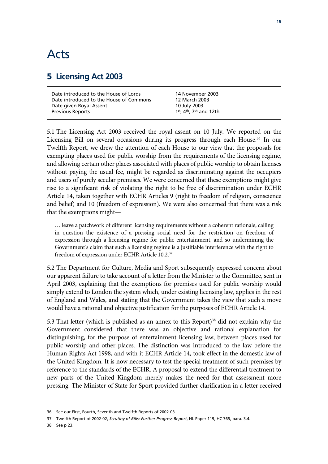# Acts

### 5 **Licensing Act 2003**

| Date introduced to the House of Lords   |  |
|-----------------------------------------|--|
| Date introduced to the House of Commons |  |
| Date given Royal Assent                 |  |
| Previous Reports                        |  |

14 November 2003 12 March 2003 10 July 2003 1<sup>st</sup>, 4<sup>th</sup>, 7<sup>th</sup> and 12th

5.1 The Licensing Act 2003 received the royal assent on 10 July. We reported on the Licensing Bill on several occasions during its progress through each House.<sup>36</sup> In our Twelfth Report, we drew the attention of each House to our view that the proposals for exempting places used for public worship from the requirements of the licensing regime, and allowing certain other places associated with places of public worship to obtain licenses without paying the usual fee, might be regarded as discriminating against the occupiers and users of purely secular premises. We were concerned that these exemptions might give rise to a significant risk of violating the right to be free of discrimination under ECHR Article 14, taken together with ECHR Articles 9 (right to freedom of religion, conscience and belief) and 10 (freedom of expression). We were also concerned that there was a risk that the exemptions might—

… leave a patchwork of different licensing requirements without a coherent rationale, calling in question the existence of a pressing social need for the restriction on freedom of expression through a licensing regime for public entertainment, and so undermining the Government's claim that such a licensing regime is a justifiable interference with the right to freedom of expression under ECHR Article 10.2.37

5.2 The Department for Culture, Media and Sport subsequently expressed concern about our apparent failure to take account of a letter from the Minister to the Committee, sent in April 2003, explaining that the exemptions for premises used for public worship would simply extend to London the system which, under existing licensing law, applies in the rest of England and Wales, and stating that the Government takes the view that such a move would have a rational and objective justification for the purposes of ECHR Article 14.

5.3 That letter (which is published as an annex to this Report)<sup>38</sup> did not explain why the Government considered that there was an objective and rational explanation for distinguishing, for the purpose of entertainment licensing law, between places used for public worship and other places. The distinction was introduced to the law before the Human Rights Act 1998, and with it ECHR Article 14, took effect in the domestic law of the United Kingdom. It is now necessary to test the special treatment of such premises by reference to the standards of the ECHR. A proposal to extend the differential treatment to new parts of the United Kingdom merely makes the need for that assessment more pressing. The Minister of State for Sport provided further clarification in a letter received

38 See p 23.

<sup>36</sup> See our First, Fourth, Seventh and Twelfth Reports of 2002-03.

<sup>37</sup> Twelfth Report of 2002-02, *Scrutiny of Bills: Further Progress Report*, HL Paper 119, HC 765, para. 3.4.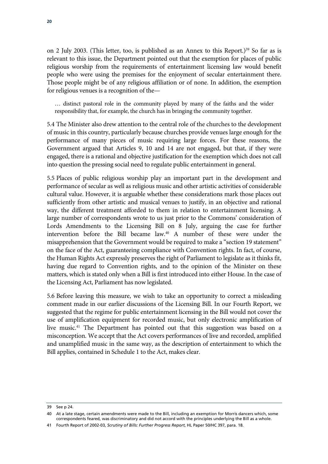on 2 July 2003. (This letter, too, is published as an Annex to this Report.)<sup>39</sup> So far as is relevant to this issue, the Department pointed out that the exemption for places of public religious worship from the requirements of entertainment licensing law would benefit people who were using the premises for the enjoyment of secular entertainment there. Those people might be of any religious affiliation or of none. In addition, the exemption for religious venues is a recognition of the—

… distinct pastoral role in the community played by many of the faiths and the wider responsibility that, for example, the church has in bringing the community together.

5.4 The Minister also drew attention to the central role of the churches to the development of music in this country, particularly because churches provide venues large enough for the performance of many pieces of music requiring large forces. For these reasons, the Government argued that Articles 9, 10 and 14 are not engaged, but that, if they were engaged, there is a rational and objective justification for the exemption which does not call into question the pressing social need to regulate public entertainment in general.

5.5 Places of public religious worship play an important part in the development and performance of secular as well as religious music and other artistic activities of considerable cultural value. However, it is arguable whether these considerations mark those places out sufficiently from other artistic and musical venues to justify, in an objective and rational way, the different treatment afforded to them in relation to entertainment licensing. A large number of correspondents wrote to us just prior to the Commons' consideration of Lords Amendments to the Licensing Bill on 8 July, arguing the case for further intervention before the Bill became law.40 A number of these were under the misapprehension that the Government would be required to make a "section 19 statement" on the face of the Act, guaranteeing compliance with Convention rights. In fact, of course, the Human Rights Act expressly preserves the right of Parliament to legislate as it thinks fit, having due regard to Convention rights, and to the opinion of the Minister on these matters, which is stated only when a Bill is first introduced into either House. In the case of the Licensing Act, Parliament has now legislated.

5.6 Before leaving this measure, we wish to take an opportunity to correct a misleading comment made in our earlier discussions of the Licensing Bill. In our Fourth Report, we suggested that the regime for public entertainment licensing in the Bill would not cover the use of amplification equipment for recorded music, but only electronic amplification of live music.<sup>41</sup> The Department has pointed out that this suggestion was based on a misconception. We accept that the Act covers performances of live and recorded, amplified and unamplified music in the same way, as the description of entertainment to which the Bill applies, contained in Schedule 1 to the Act, makes clear.

<sup>39</sup> See p 24.

<sup>40</sup> At a late stage, certain amendments were made to the Bill, including an exemption for Morris dancers which, some correspondents feared, was discriminatory and did not accord with the principles underlying the Bill as a whole.

<sup>41</sup> Fourth Report of 2002-03, *Scrutiny of Bills: Further Progress Report*, HL Paper 50/HC 397, para. 18.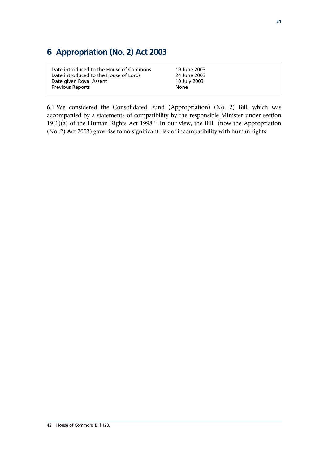## 6 **Appropriation (No. 2) Act 2003**

| Date introduced to the House of Commons | 19 June 2003 |
|-----------------------------------------|--------------|
| Date introduced to the House of Lords   | 24 June 2003 |
| Date given Royal Assent                 | 10 July 2003 |
| <b>Previous Reports</b>                 | None         |

6.1 We considered the Consolidated Fund (Appropriation) (No. 2) Bill, which was accompanied by a statements of compatibility by the responsible Minister under section  $19(1)(a)$  of the Human Rights Act 1998.<sup>42</sup> In our view, the Bill (now the Appropriation (No. 2) Act 2003) gave rise to no significant risk of incompatibility with human rights.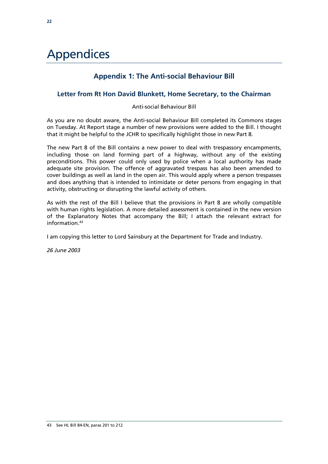# Appendices

### **Appendix 1: The Anti-social Behaviour Bill**

#### **Letter from Rt Hon David Blunkett, Home Secretary, to the Chairman**

#### Anti-social Behaviour Bill

As you are no doubt aware, the Anti-social Behaviour Bill completed its Commons stages on Tuesday. At Report stage a number of new provisions were added to the Bill. I thought that it might be helpful to the JCHR to specifically highlight those in new Part 8.

The new Part 8 of the Bill contains a new power to deal with trespassory encampments, including those on land forming part of a highway, without any of the existing preconditions. This power could only used by police when a local authority has made adequate site provision. The offence of aggravated trespass has also been amended to cover buildings as well as land in the open air. This would apply where a person trespasses and does anything that is intended to intimidate or deter persons from engaging in that activity, obstructing or disrupting the lawful activity of others.

As with the rest of the Bill I believe that the provisions in Part 8 are wholly compatible with human rights legislation. A more detailed assessment is contained in the new version of the Explanatory Notes that accompany the Bill; I attach the relevant extract for information 43

I am copying this letter to Lord Sainsbury at the Department for Trade and Industry.

*26 June 2003*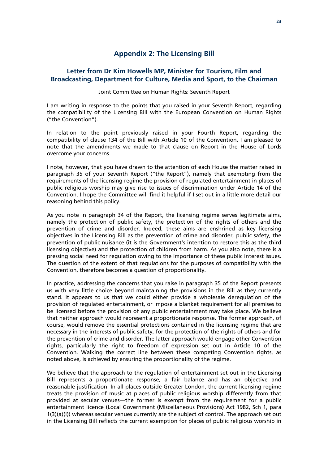#### **Appendix 2: The Licensing Bill**

#### **Letter from Dr Kim Howells MP, Minister for Tourism, Film and Broadcasting, Department for Culture, Media and Sport, to the Chairman**

#### Joint Committee on Human Rights: Seventh Report

I am writing in response to the points that you raised in your Seventh Report, regarding the compatibility of the Licensing Bill with the European Convention on Human Rights ("the Convention").

In relation to the point previously raised in your Fourth Report, regarding the compatibility of clause 134 of the Bill with Article 10 of the Convention, I am pleased to note that the amendments we made to that clause on Report in the House of Lords overcome your concerns.

I note, however, that you have drawn to the attention of each House the matter raised in paragraph 35 of your Seventh Report ("the Report"), namely that exempting from the requirements of the licensing regime the provision of regulated entertainment in places of public religious worship may give rise to issues of discrimination under Article 14 of the Convention. I hope the Committee will find it helpful if I set out in a little more detail our reasoning behind this policy.

As you note in paragraph 34 of the Report, the licensing regime serves legitimate aims, namely the protection of public safety, the protection of the rights of others and the prevention of crime and disorder. Indeed, these aims are enshrined as key licensing objectives in the Licensing Bill as the prevention of crime and disorder, public safety, the prevention of public nuisance (it is the Government's intention to restore this as the third licensing objective) and the protection of children from harm. As you also note, there is a pressing social need for regulation owing to the importance of these public interest issues. The question of the extent of that regulations for the purposes of compatibility with the Convention, therefore becomes a question of proportionality.

In practice, addressing the concerns that you raise in paragraph 35 of the Report presents us with very little choice beyond maintaining the provisions in the Bill as they currently stand. It appears to us that we could either provide a wholesale deregulation of the provision of regulated entertainment, or impose a blanket requirement for all premises to be licensed before the provision of any public entertainment may take place. We believe that neither approach would represent a proportionate response. The former approach, of course, would remove the essential protections contained in the licensing regime that are necessary in the interests of public safety, for the protection of the rights of others and for the prevention of crime and disorder. The latter approach would engage other Convention rights, particularly the right to freedom of expression set out in Article 10 of the Convention. Walking the correct line between these competing Convention rights, as noted above, is achieved by ensuring the proportionality of the regime.

We believe that the approach to the regulation of entertainment set out in the Licensing Bill represents a proportionate response, a fair balance and has an objective and reasonable justification. In all places outside Greater London, the current licensing regime treats the provision of music at places of public religious worship differently from that provided at secular venues—the former is exempt from the requirement for a public entertainment licence (Local Government (Miscellaneous Provisions) Act 1982, Sch 1, para 1(3)(a)(i)) whereas secular venues currently are the subject of control. The approach set out in the Licensing Bill reflects the current exemption for places of public religious worship in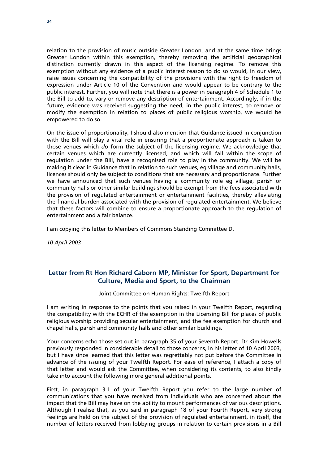relation to the provision of music outside Greater London, and at the same time brings Greater London within this exemption, thereby removing the artificial geographical distinction currently drawn in this aspect of the licensing regime. To remove this exemption without any evidence of a public interest reason to do so would, in our view, raise issues concerning the compatibility of the provisions with the right to freedom of expression under Article 10 of the Convention and would appear to be contrary to the public interest. Further, you will note that there is a power in paragraph 4 of Schedule 1 to the Bill to add to, vary or remove any description of entertainment. Accordingly, if in the future, evidence was received suggesting the need, in the public interest, to remove or modify the exemption in relation to places of public religious worship, we would be empowered to do so.

On the issue of proportionality, I should also mention that Guidance issued in conjunction with the Bill will play a vital role in ensuring that a proportionate approach is taken to those venues which *do* form the subject of the licensing regime. We acknowledge that certain venues which are currently licensed, and which will fall within the scope of regulation under the Bill, have a recognised role to play in the community. We will be making it clear in Guidance that in relation to such venues, eg village and community halls, licences should only be subject to conditions that are necessary and proportionate. Further we have announced that such venues having a community role eg village, parish or community halls or other similar buildings should be exempt from the fees associated with the provision of regulated entertainment or entertainment facilities, thereby alleviating the financial burden associated with the provision of regulated entertainment. We believe that these factors will combine to ensure a proportionate approach to the regulation of entertainment and a fair balance.

I am copying this letter to Members of Commons Standing Committee D.

*10 April 2003* 

#### **Letter from Rt Hon Richard Caborn MP, Minister for Sport, Department for Culture, Media and Sport, to the Chairman**

Joint Committee on Human Rights: Twelfth Report

I am writing in response to the points that you raised in your Twelfth Report, regarding the compatibility with the ECHR of the exemption in the Licensing Bill for places of public religious worship providing secular entertainment, and the fee exemption for church and chapel halls, parish and community halls and other similar buildings.

Your concerns echo those set out in paragraph 35 of your Seventh Report. Dr Kim Howells previously responded in considerable detail to those concerns, in his letter of 10 April 2003, but I have since learned that this letter was regrettably not put before the Committee in advance of the issuing of your Twelfth Report. For ease of reference, I attach a copy of that letter and would ask the Committee, when considering its contents, to also kindly take into account the following more general additional points.

First, in paragraph 3.1 of your Twelfth Report you refer to the large number of communications that you have received from individuals who are concerned about the impact that the Bill may have on the ability to mount performances of various descriptions. Although I realise that, as you said in paragraph 18 of your Fourth Report, very strong feelings are held on the subject of the provision of regulated entertainment, in itself, the number of letters received from lobbying groups in relation to certain provisions in a Bill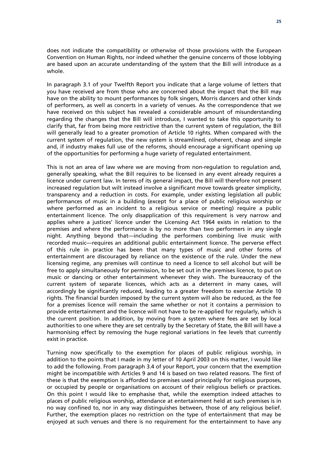does not indicate the compatibility or otherwise of those provisions with the European Convention on Human Rights, nor indeed whether the genuine concerns of those lobbying are based upon an accurate understanding of the system that the Bill will introduce as a whole.

In paragraph 3.1 of your Twelfth Report you indicate that a large volume of letters that you have received are from those who are concerned about the impact that the Bill may have on the ability to mount performances by folk singers, Morris dancers and other kinds of performers, as well as concerts in a variety of venues. As the correspondence that we have received on this subject has revealed a considerable amount of misunderstanding regarding the changes that the Bill will introduce, I wanted to take this opportunity to clarify that, far from being more restrictive than the current system of regulation, the Bill will generally lead to a greater promotion of Article 10 rights. When compared with the current system of regulation, the new system is streamlined, coherent, cheap and simple and, if industry makes full use of the reforms, should encourage a significant opening up of the opportunities for performing a huge variety of regulated entertainment.

This is not an area of law where we are moving from non-regulation to regulation and, generally speaking, what the Bill requires to be licensed in any event already requires a licence under current law. In terms of its general impact, the Bill will therefore not present increased regulation but wilt instead involve a significant move towards greater simplicity, transparency and a reduction in costs. For example, under existing legislation all public performances of music in a building (except for a place of public religious worship or where performed as an incident to a religious service or meeting) require a public entertainment licence. The only disapplication of this requirement is very narrow and applies where a justices' licence under the Licensing Act 1964 exists in relation to the premises and where the performance is by no more than two performers in any single night. Anything beyond that—including the performers combining live music with recorded music—requires an additional public entertainment licence. The perverse effect of this rule in practice has been that many types of music and other forms of entertainment are discouraged by reliance on the existence of the rule. Under the new licensing regime, any premises will continue to need a licence to sell alcohol but will be free to apply simultaneously for permission, to be set out in the premises licence, to put on music or dancing or other entertainment whenever they wish. The bureaucracy of the current system of separate licences, which acts as a deterrent in many cases, will accordingly be significantly reduced, leading to a greater freedom to exercise Article 10 rights. The financial burden imposed by the current system will also be reduced, as the fee for a premises licence will remain the same whether or not it contains a permission to provide entertainment and the licence will not have to be re-applied for regularly, which is the current position. In addition, by moving from a system where fees are set by local authorities to one where they are set centrally by the Secretary of State, the Bill will have a harmonising effect by removing the huge regional variations in fee levels that currently exist in practice.

Turning now specifically to the exemption for places of public religious worship, in addition to the points that I made in my letter of 10 April 2003 on this matter, I would like to add the following. From paragraph 3.4 of your Report, your concern that the exemption might be incompatible with Articles 9 and 14 is based on two related reasons. The first of these is that the exemption is afforded to premises used principally for religious purposes, or occupied by people or organisations on account of their religious beliefs or practices. On this point I would like to emphasise that, while the exemption indeed attaches to places of public religious worship, attendance at entertainment held at such premises is in no way confined to, nor in any way distinguishes between, those of any religious belief. Further, the exemption places no restriction on the type of entertainment that may be enjoyed at such venues and there is no requirement for the entertainment to have any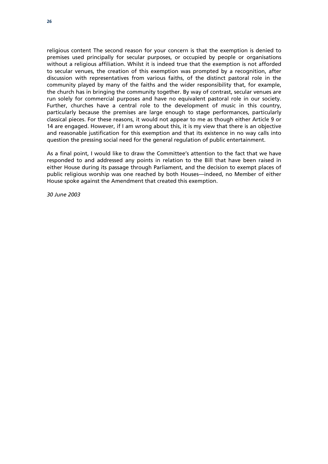religious content The second reason for your concern is that the exemption is denied to premises used principally for secular purposes, or occupied by people or organisations without a religious affiliation. Whilst it is indeed true that the exemption is not afforded to secular venues, the creation of this exemption was prompted by a recognition, after discussion with representatives from various faiths, of the distinct pastoral role in the community played by many of the faiths and the wider responsibility that, for example, the church has in bringing the community together. By way of contrast, secular venues are run solely for commercial purposes and have no equivalent pastoral role in our society. Further, churches have a central role to the development of music in this country, particularly because the premises are large enough to stage performances, particularly classical pieces. For these reasons, it would not appear to me as though either Article 9 or 14 are engaged. However, if I am wrong about this, it is my view that there is an objective and reasonable justification for this exemption and that its existence in no way calls into question the pressing social need for the general regulation of public entertainment.

As a final point, I would like to draw the Committee's attention to the fact that we have responded to and addressed any points in relation to the Bill that have been raised in either House during its passage through Parliament, and the decision to exempt places of public religious worship was one reached by both Houses—indeed, no Member of either House spoke against the Amendment that created this exemption.

*30 June 2003*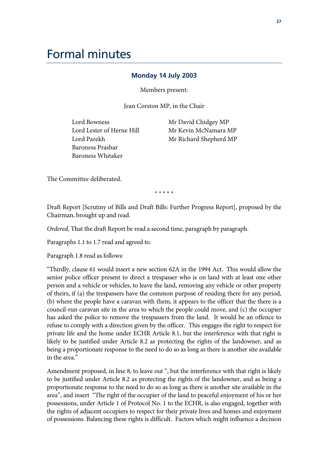# Formal minutes

#### **Monday 14 July 2003**

Members present:

Jean Corston MP, in the Chair

Lord Bowness Lord Lester of Herne Hill Lord Parekh Baroness Prashar Baroness Whitaker

Mr David Chidgey MP Mr Kevin McNamara MP Mr Richard Shepherd MP

The Committee deliberated.

\* \* \* \* \*

Draft Report [Scrutiny of Bills and Draft Bills: Further Progress Report], proposed by the Chairman, brought up and read.

*Ordered*, That the draft Report be read a second time, paragraph by paragraph.

Paragraphs 1.1 to 1.7 read and agreed to.

Paragraph 1.8 read as follows:

"Thirdly, clause 61 would insert a new section 62A in the 1994 Act. This would allow the senior police officer present to direct a trespasser who is on land with at least one other person and a vehicle or vehicles, to leave the land, removing any vehicle or other property of theirs, if (a) the trespassers have the common purpose of residing there for any period, (b) where the people have a caravan with them, it appears to the officer that the there is a council-run caravan site in the area to which the people could move, and (c) the occupier has asked the police to remove the trespassers from the land. It would be an offence to refuse to comply with a direction given by the officer. This engages the right to respect for private life and the home under ECHR Article 8.1, but the interference with that right is likely to be justified under Article 8.2 as protecting the rights of the landowner, and as being a proportionate response to the need to do so as long as there is another site available in the area."

Amendment proposed, in line 8, to leave out ", but the interference with that right is likely to be justified under Article 8.2 as protecting the rights of the landowner, and as being a proportionate response to the need to do so as long as there is another site available in the area", and insert "The right of the occupier of the land to peaceful enjoyment of his or her possessions, under Article 1 of Protocol No. 1 to the ECHR, is also engaged, together with the rights of adjacent occupiers to respect for their private lives and homes and enjoyment of possessions. Balancing these rights is difficult. Factors which might influence a decision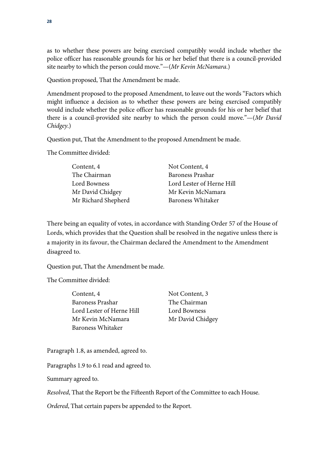as to whether these powers are being exercised compatibly would include whether the police officer has reasonable grounds for his or her belief that there is a council-provided site nearby to which the person could move."—(*Mr Kevin McNamara*.)

Question proposed, That the Amendment be made.

Amendment proposed to the proposed Amendment, to leave out the words "Factors which might influence a decision as to whether these powers are being exercised compatibly would include whether the police officer has reasonable grounds for his or her belief that there is a council-provided site nearby to which the person could move."—(*Mr David Chidgey*.)

Question put, That the Amendment to the proposed Amendment be made.

The Committee divided:

| Content, 4          | Not Content, 4            |
|---------------------|---------------------------|
| The Chairman        | Baroness Prashar          |
| Lord Bowness        | Lord Lester of Herne Hill |
| Mr David Chidgey    | Mr Kevin McNamara         |
| Mr Richard Shepherd | Baroness Whitaker         |

There being an equality of votes, in accordance with Standing Order 57 of the House of Lords, which provides that the Question shall be resolved in the negative unless there is a majority in its favour, the Chairman declared the Amendment to the Amendment disagreed to.

Chidgey

Question put, That the Amendment be made.

The Committee divided:

| The Chairman  |
|---------------|
|               |
| Lord Bowness  |
| Mr David Chid |
|               |
|               |

Paragraph 1.8, as amended, agreed to.

Paragraphs 1.9 to 6.1 read and agreed to.

Summary agreed to.

*Resolved*, That the Report be the Fifteenth Report of the Committee to each House.

*Ordered*, That certain papers be appended to the Report.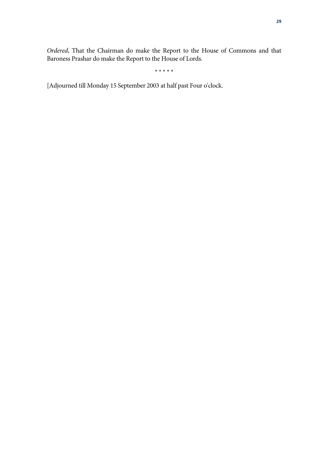*Ordered*, That the Chairman do make the Report to the House of Commons and that Baroness Prashar do make the Report to the House of Lords.

\* \* \* \* \*

[Adjourned till Monday 15 September 2003 at half past Four o'clock.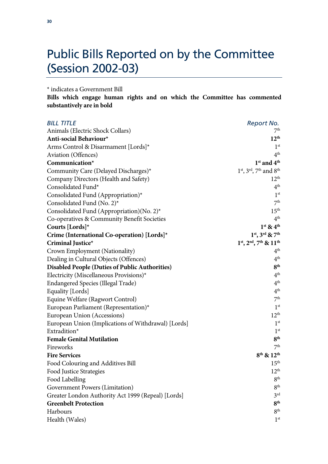# Public Bills Reported on by the Committee (Session 2002-03)

\* indicates a Government Bill

**Bills which engage human rights and on which the Committee has commented substantively are in bold** 

| <b>BILL TITLE</b>                                     | Report No.                     |
|-------------------------------------------------------|--------------------------------|
| Animals (Electric Shock Collars)                      | 7 <sup>th</sup>                |
| Anti-social Behaviour*                                | $12^{th}$                      |
| Arms Control & Disarmament [Lords]*                   | 1 <sup>st</sup>                |
| Aviation (Offences)                                   | 4 <sup>th</sup>                |
| Communication*                                        | $1st$ and $4th$                |
| Community Care (Delayed Discharges)*                  | 1st, 3rd, 7th and 8th          |
| Company Directors (Health and Safety)                 | 12 <sup>th</sup>               |
| Consolidated Fund*                                    | 4 <sup>th</sup>                |
| Consolidated Fund (Appropriation)*                    | 1 <sup>st</sup>                |
| Consolidated Fund (No. 2)*                            | 7 <sup>th</sup>                |
| Consolidated Fund (Appropriation)(No. 2)*             | 15 <sup>th</sup>               |
| Co-operatives & Community Benefit Societies           | 4 <sup>th</sup>                |
| Courts [Lords]*                                       | $1st$ & $4th$                  |
| Crime (International Co-operation) [Lords]*           | $1^{st}$ , $3^{rd}$ & $7^{th}$ |
| Criminal Justice*                                     | $1st$ , $2nd$ , $7th$ & $11th$ |
| Crown Employment (Nationality)                        | 4 <sup>th</sup>                |
| Dealing in Cultural Objects (Offences)                | 4 <sup>th</sup>                |
| <b>Disabled People (Duties of Public Authorities)</b> | 8 <sup>th</sup>                |
| Electricity (Miscellaneous Provisions)*               | 4 <sup>th</sup>                |
| Endangered Species (Illegal Trade)                    | 4 <sup>th</sup>                |
| Equality [Lords]                                      | 4 <sup>th</sup>                |
| Equine Welfare (Ragwort Control)                      | 7 <sup>th</sup>                |
| European Parliament (Representation)*                 | 1 <sup>st</sup>                |
| European Union (Accessions)                           | $12^{th}$                      |
| European Union (Implications of Withdrawal) [Lords]   | 1 <sup>st</sup>                |
| Extradition*                                          | 1 <sup>st</sup>                |
| <b>Female Genital Mutilation</b>                      | 8 <sup>th</sup>                |
| Fireworks                                             | 7 <sup>th</sup>                |
| <b>Fire Services</b>                                  | $8^{th}$ & $12^{th}$           |
| Food Colouring and Additives Bill                     | 15 <sup>th</sup>               |
| Food Justice Strategies                               | $12^{th}$                      |
| Food Labelling                                        | 8 <sup>th</sup>                |
| Government Powers (Limitation)                        | 8 <sup>th</sup>                |
| Greater London Authority Act 1999 (Repeal) [Lords]    | 3 <sup>rd</sup>                |
| <b>Greenbelt Protection</b>                           | 8 <sup>th</sup>                |
| Harbours                                              | 8 <sup>th</sup>                |
| Health (Wales)                                        | 1 <sup>st</sup>                |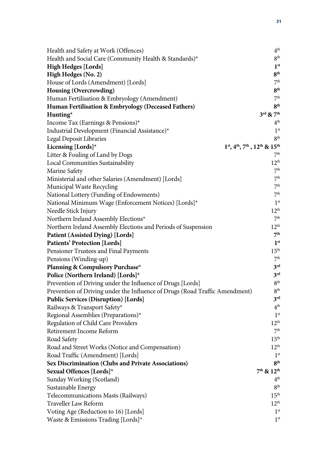| Health and Safety at Work (Offences)                                        | 4 <sup>th</sup>                   |
|-----------------------------------------------------------------------------|-----------------------------------|
| Health and Social Care (Community Health & Standards)*                      | 8 <sup>th</sup>                   |
| <b>High Hedges [Lords]</b>                                                  | 1 <sup>st</sup>                   |
| High Hedges (No. 2)                                                         | 8 <sup>th</sup>                   |
| House of Lords (Amendment) [Lords]                                          | 7 <sup>th</sup>                   |
| Housing (Overcrowding)                                                      | 8 <sup>th</sup>                   |
| Human Fertilisation & Embryology (Amendment)                                | 7 <sup>th</sup>                   |
| Human Fertilisation & Embryology (Deceased Fathers)                         | 8 <sup>th</sup>                   |
| $H$ unting*                                                                 | $3^{\text{rd}}$ & $7^{\text{th}}$ |
| Income Tax (Earnings & Pensions)*                                           | 4 <sup>th</sup>                   |
| Industrial Development (Financial Assistance)*                              | 1 <sup>st</sup>                   |
| Legal Deposit Libraries                                                     | 8 <sup>th</sup>                   |
| Licensing [Lords] $*$                                                       | $1st, 4th, 7th, 12th$ & $15th$    |
| Litter & Fouling of Land by Dogs                                            | 7 <sup>th</sup>                   |
| Local Communities Sustainability                                            | 12 <sup>th</sup>                  |
| Marine Safety                                                               | 7 <sup>th</sup>                   |
| Ministerial and other Salaries (Amendment) [Lords]                          | 7 <sup>th</sup>                   |
| Municipal Waste Recycling                                                   | 7 <sup>th</sup>                   |
| National Lottery (Funding of Endowments)                                    | 7 <sup>th</sup>                   |
| National Minimum Wage (Enforcement Notices) [Lords]*                        | 1 <sup>st</sup>                   |
| Needle Stick Injury                                                         | 12 <sup>th</sup>                  |
| Northern Ireland Assembly Elections*                                        | 7 <sup>th</sup>                   |
| Northern Ireland Assembly Elections and Periods of Suspension               | 12 <sup>th</sup>                  |
| Patient (Assisted Dying) [Lords]                                            | 7 <sup>th</sup>                   |
| <b>Patients' Protection [Lords]</b>                                         | 1 <sup>st</sup>                   |
| Pensioner Trustees and Final Payments                                       | 15 <sup>th</sup>                  |
| Pensions (Winding-up)                                                       | 7 <sup>th</sup>                   |
| Planning & Compulsory Purchase*                                             | 3 <sup>rd</sup>                   |
| Police (Northern Ireland) [Lords]*                                          | 3 <sup>rd</sup>                   |
| Prevention of Driving under the Influence of Drugs [Lords]                  | 8 <sup>th</sup>                   |
| Prevention of Driving under the Influence of Drugs (Road Traffic Amendment) | $8^{\rm th}$                      |
| <b>Public Services (Disruption) [Lords]</b>                                 | 3 <sup>rd</sup>                   |
| Railways & Transport Safety*                                                | 4 <sup>th</sup>                   |
| Regional Assemblies (Preparations)*                                         | 1 <sup>st</sup>                   |
| Regulation of Child Care Providers                                          | 12 <sup>th</sup>                  |
| Retirement Income Reform                                                    | 7 <sup>th</sup>                   |
| Road Safety                                                                 | 15 <sup>th</sup>                  |
| Road and Street Works (Notice and Compensation)                             | $12^{th}$                         |
| Road Traffic (Amendment) [Lords]                                            | 1 <sup>st</sup>                   |
| <b>Sex Discrimination (Clubs and Private Associations)</b>                  | 8 <sup>th</sup>                   |
| Sexual Offences [Lords]*                                                    | $7th$ & $12th$                    |
| Sunday Working (Scotland)                                                   | 4 <sup>th</sup>                   |
| Sustainable Energy                                                          | 8 <sup>th</sup>                   |
| Telecommunications Masts (Railways)                                         | 15 <sup>th</sup>                  |
| Traveller Law Reform                                                        | 12 <sup>th</sup>                  |
| Voting Age (Reduction to 16) [Lords]                                        | 1 <sup>st</sup>                   |
| Waste & Emissions Trading [Lords]*                                          | 1 <sup>st</sup>                   |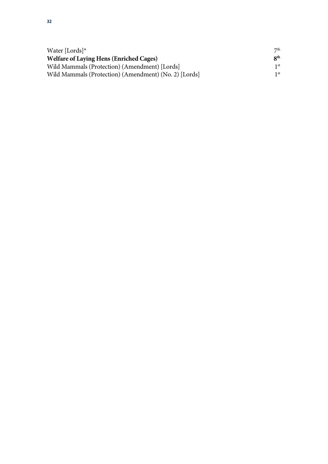| Water [Lords] $*$                                     | 7 <sup>th</sup>          |
|-------------------------------------------------------|--------------------------|
| <b>Welfare of Laying Hens (Enriched Cages)</b>        | $\mathbf{R}^{\text{th}}$ |
| Wild Mammals (Protection) (Amendment) [Lords]         | 1 st                     |
| Wild Mammals (Protection) (Amendment) (No. 2) [Lords] | 1 st                     |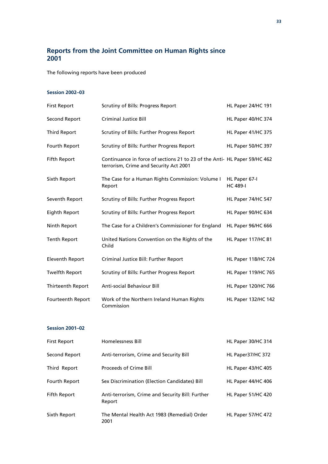### **Reports from the Joint Committee on Human Rights since 2001**

The following reports have been produced

#### **Session 2002–03**

| <b>First Report</b>    | Scrutiny of Bills: Progress Report                                                                                  | HL Paper 24/HC 191               |
|------------------------|---------------------------------------------------------------------------------------------------------------------|----------------------------------|
| Second Report          | <b>Criminal Justice Bill</b>                                                                                        | HL Paper 40/HC 374               |
| <b>Third Report</b>    | Scrutiny of Bills: Further Progress Report                                                                          | HL Paper 41/HC 375               |
| Fourth Report          | Scrutiny of Bills: Further Progress Report                                                                          | HL Paper 50/HC 397               |
| Fifth Report           | Continuance in force of sections 21 to 23 of the Anti- HL Paper 59/HC 462<br>terrorism, Crime and Security Act 2001 |                                  |
| Sixth Report           | The Case for a Human Rights Commission: Volume I<br>Report                                                          | HL Paper 67-I<br><b>HC 489-I</b> |
| Seventh Report         | Scrutiny of Bills: Further Progress Report                                                                          | HL Paper 74/HC 547               |
| <b>Eighth Report</b>   | Scrutiny of Bills: Further Progress Report                                                                          | HL Paper 90/HC 634               |
| Ninth Report           | The Case for a Children's Commissioner for England                                                                  | HL Paper 96/HC 666               |
| <b>Tenth Report</b>    | United Nations Convention on the Rights of the<br>Child                                                             | HL Paper 117/HC 81               |
| <b>Eleventh Report</b> | Criminal Justice Bill: Further Report                                                                               | <b>HL Paper 118/HC 724</b>       |
| <b>Twelfth Report</b>  | Scrutiny of Bills: Further Progress Report                                                                          | <b>HL Paper 119/HC 765</b>       |
| Thirteenth Report      | <b>Anti-social Behaviour Bill</b>                                                                                   | <b>HL Paper 120/HC 766</b>       |
| Fourteenth Report      | Work of the Northern Ireland Human Rights<br>Commission                                                             | <b>HL Paper 132/HC 142</b>       |

#### **Session 2001–02**

| <b>First Report</b> | <b>Homelessness Bill</b>                                   | HL Paper 30/HC 314 |
|---------------------|------------------------------------------------------------|--------------------|
| Second Report       | Anti-terrorism, Crime and Security Bill                    | HL Paper37/HC 372  |
| Third Report        | <b>Proceeds of Crime Bill</b>                              | HL Paper 43/HC 405 |
| Fourth Report       | Sex Discrimination (Election Candidates) Bill              | HL Paper 44/HC 406 |
| Fifth Report        | Anti-terrorism, Crime and Security Bill: Further<br>Report | HL Paper 51/HC 420 |
| Sixth Report        | The Mental Health Act 1983 (Remedial) Order<br>2001        | HL Paper 57/HC 472 |